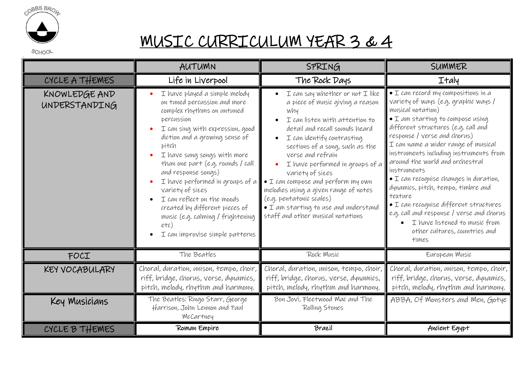

## MUSIC CURRICULUM YEAR 3 & 4

|                                | AUTUMN                                                                                                                                                                                                                                                                                                                                                                                                                                                                                     | SPRING                                                                                                                                                                                                                                                                                                                                                                                                                                                                                                                | SUMMER                                                                                                                                                                                                                                                                                                                                                                                                                                                                                                                                                                                                                              |
|--------------------------------|--------------------------------------------------------------------------------------------------------------------------------------------------------------------------------------------------------------------------------------------------------------------------------------------------------------------------------------------------------------------------------------------------------------------------------------------------------------------------------------------|-----------------------------------------------------------------------------------------------------------------------------------------------------------------------------------------------------------------------------------------------------------------------------------------------------------------------------------------------------------------------------------------------------------------------------------------------------------------------------------------------------------------------|-------------------------------------------------------------------------------------------------------------------------------------------------------------------------------------------------------------------------------------------------------------------------------------------------------------------------------------------------------------------------------------------------------------------------------------------------------------------------------------------------------------------------------------------------------------------------------------------------------------------------------------|
| CYCLE A THEMES                 | Life in Liverpool                                                                                                                                                                                                                                                                                                                                                                                                                                                                          | The Rock Days                                                                                                                                                                                                                                                                                                                                                                                                                                                                                                         | <b>Italy</b>                                                                                                                                                                                                                                                                                                                                                                                                                                                                                                                                                                                                                        |
| KNOWLEDGE AND<br>UNDERSTANDING | I have played a simple melody<br>on tuned percussion and more<br>complex rhythms on untuned<br>percussion<br>I can sing with expression, good<br>diction and a growing sense of<br>pitch<br>I have sung songs with more<br>than one part (e.g. rounds / call<br>and response songs)<br>I have performed in groups of a<br>Variety of sizes<br>I can reflect on the moods<br>created by different pieces of<br>music (e.g. calming / frightening<br>etc)<br>I can improvise simple patterns | $I$ can say whether or not $I$ like<br>a piece of music giving a reason<br>why<br>I can listen with attention to<br>detail and recall sounds heard<br>I can identify contrasting<br>$\bullet$<br>sections of a song, such as the<br>verse and refrain<br>I have performed in groups of a<br>Variety of sizes<br>$\bullet$ I can compose and perform my own<br>melodies using a given range of notes<br>(e.g. pentatonic scales)<br>$\bullet$ I am starting to use and understand<br>staff and other musical notations | $\bullet$ I can record my compositions in a<br>Variety of ways (e.g. graphic ways /<br>musical notation)<br>• I am starting to compose using<br>different structures (e.g. call and<br>response / verse and chorus)<br>I can name a wider range of musical<br>instruments including instruments from<br>around the world and orchestral<br>instruments<br>$\bullet$ I can recognise changes in duration,<br>dynamics, pitch, tempo, timbre and<br>texture<br>$\bullet$ I can recognise different structures<br>e.g. call and response / verse and chorus<br>I have listened to music from<br>other cultures, countries and<br>times |
| FOCI                           | The Beatles                                                                                                                                                                                                                                                                                                                                                                                                                                                                                | Rock Music                                                                                                                                                                                                                                                                                                                                                                                                                                                                                                            | European Music                                                                                                                                                                                                                                                                                                                                                                                                                                                                                                                                                                                                                      |
| KEY VOCABULARY                 | Choral, duration, unison, tempo, choir,<br>riff, bridge, chorus, verse, dynamics,<br>pitch, melody, rhythm and harmony.                                                                                                                                                                                                                                                                                                                                                                    | Choral, duration, unison, tempo, choir,<br>riff, bridge, chorus, verse, dynamics,<br>pitch, melody, rhythm and harmony.                                                                                                                                                                                                                                                                                                                                                                                               | Choral, duration, unison, tempo, choir,<br>riff, bridge, chorus, verse, dynamics,<br>pitch, melody, rhythm and harmony.                                                                                                                                                                                                                                                                                                                                                                                                                                                                                                             |
| Key Musicians                  | The Beatles: Ringo Starr, George<br>Harrison, John Lennon and Paul<br>McCartney                                                                                                                                                                                                                                                                                                                                                                                                            | Bon Jovi, Fleetwood Mac and The<br>Rolling Stones                                                                                                                                                                                                                                                                                                                                                                                                                                                                     | ABBA, Of Monsters and Men, Gotye                                                                                                                                                                                                                                                                                                                                                                                                                                                                                                                                                                                                    |
| CYCLE B THEMES                 | Roman Empire                                                                                                                                                                                                                                                                                                                                                                                                                                                                               | Brazil                                                                                                                                                                                                                                                                                                                                                                                                                                                                                                                | Ancient Egypt                                                                                                                                                                                                                                                                                                                                                                                                                                                                                                                                                                                                                       |